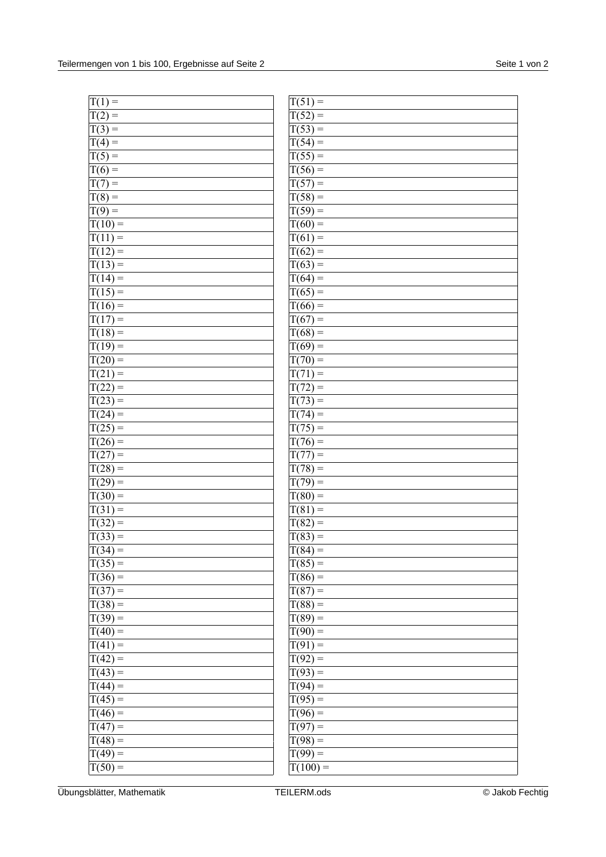| $T(1) =$             | $T(51) =$  |
|----------------------|------------|
| $T(2) =$             | $T(52) =$  |
| $T(3) =$             | $T(53) =$  |
| $T(4) =$             | $T(54) =$  |
| $T(5) =$             | $T(55) =$  |
| $T(6) =$             | $T(56) =$  |
| $T(7) =$             | $T(57) =$  |
| $T(8) =$             | $T(58) =$  |
| $T(9) =$             | $T(59) =$  |
| $T(10) =$            | $T(60) =$  |
| $T(11) =$            | $T(61) =$  |
| $T(12) =$            | $T(62) =$  |
| $T(13) =$            | $T(63) =$  |
| $T(14) =$            | $T(64) =$  |
| $T(15) =$            | $T(65) =$  |
| $T(16) =$            | $T(66) =$  |
| $T(17) =$            | $T(67) =$  |
| $T(18) =$            | $T(68) =$  |
| $T(19) =$            | $T(69) =$  |
| $T(20) =$            | $T(70) =$  |
| $T(21) =$            | $T(71) =$  |
| $T(22) =$            | $T(72) =$  |
| $\overline{T}(23) =$ | $T(73) =$  |
| $T(24) =$            | $T(74) =$  |
| $T(25) =$            | $T(75) =$  |
| $T(26) =$            | $T(76) =$  |
| $T(27) =$            | $T(77) =$  |
| $T(28) =$            | $T(78) =$  |
| $T(29) =$            | $T(79) =$  |
| $T(30) =$            | $T(80) =$  |
| $T(31) =$            | $T(81) =$  |
| $T(32) =$            | $T(82) =$  |
| $T(33) =$            | $T(83) =$  |
| $\sqrt{T(34)}$ =     | $T(84) =$  |
| $T(35) =$            | $T(85) =$  |
| $T(36) =$            | $T(86) =$  |
| $T(37) =$            | $T(87) =$  |
| $T(38) =$            | $T(88) =$  |
| $T(39) =$            | $T(89) =$  |
| $T(40) =$            | $T(90) =$  |
| $T(41) =$            | $T(91) =$  |
| $T(42) =$            | $T(92) =$  |
| $T(43) =$            | $T(93) =$  |
| $T(44) =$            | $T(94) =$  |
| $T(45) =$            | $T(95) =$  |
| $T(46) =$            | $T(96) =$  |
| $T(47) =$            | $T(97) =$  |
| $T(48) =$            | $T(98) =$  |
| $T(49) =$            | $T(99) =$  |
| $T(50) =$            | $T(100) =$ |
|                      |            |